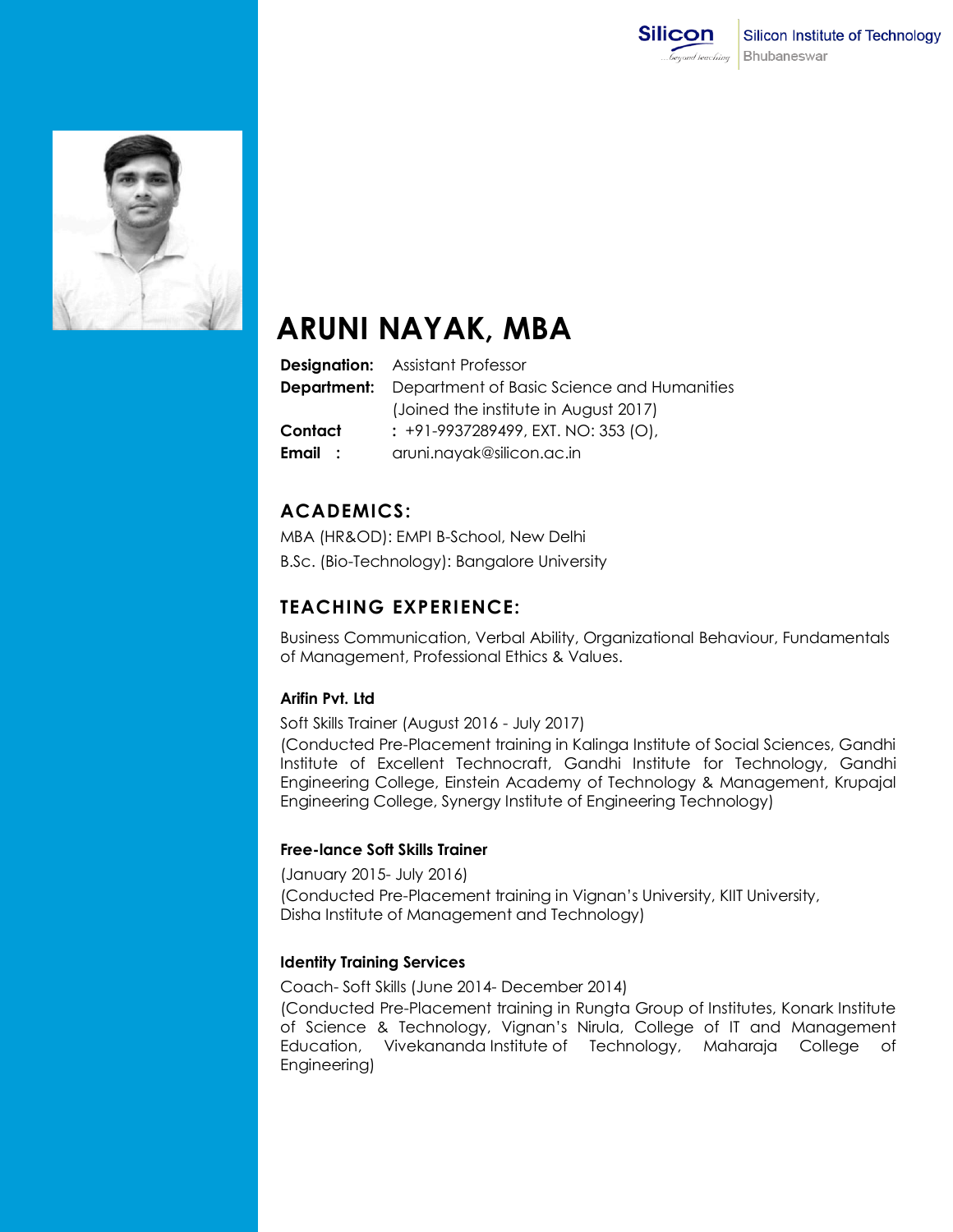



# **ARUNI NAYAK, MBA**

|         | <b>Designation:</b> Assistant Professor                       |
|---------|---------------------------------------------------------------|
|         | <b>Department:</b> Department of Basic Science and Humanities |
|         | (Joined the institute in August 2017)                         |
| Contact | : +91-9937289499, EXT. NO: 353 (O),                           |
| Email : | aruni.nayak@silicon.ac.in                                     |

## **ACADEMICS:**

MBA (HR&OD): EMPI B-School, New Delhi B.Sc. (Bio-Technology): Bangalore University

## **TEACHING EXPERIENCE:**

Business Communication, Verbal Ability, Organizational Behaviour, Fundamentals of Management, Professional Ethics & Values.

## **Arifin Pvt. Ltd**

Soft Skills Trainer (August 2016 - July 2017)

(Conducted Pre-Placement training in Kalinga Institute of Social Sciences, Gandhi Institute of Excellent Technocraft, Gandhi Institute for Technology, Gandhi Engineering College, Einstein Academy of Technology & Management, Krupajal Engineering College, Synergy Institute of Engineering Technology)

#### **Free-lance Soft Skills Trainer**

(January 2015- July 2016) (Conducted Pre-Placement training in Vignan's University, KIIT University, Disha Institute of Management and Technology)

## **Identity Training Services**

Coach- Soft Skills (June 2014- December 2014) (Conducted Pre-Placement training in Rungta Group of Institutes, Konark Institute of Science & Technology, Vignan's Nirula, College of IT and Management Education, Vivekananda Institute of Technology, Maharaja College of Engineering)